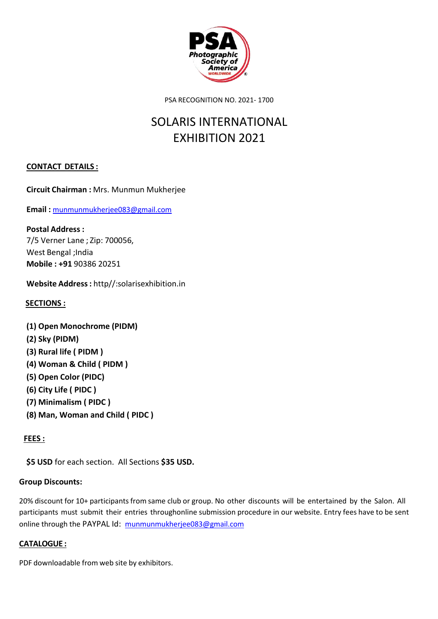

PSA RECOGNITION NO. 2021- 1700

## SOLARIS INTERNATIONAL EXHIBITION 2021

## **CONTACT DETAILS :**

**Circuit Chairman :** Mrs. Munmun Mukherjee

**Email :** [munmunmukherjee083@gmail.com](mailto:munmunmukherjee083@gmail.com)

**Postal Address :** 7/5 Verner Lane ; Zip: 700056, West Bengal ;India **Mobile : +91** 90386 20251

**Website Address:** http//:solarisexhibition.in

## **SECTIONS :**

**(1) Open Monochrome (PIDM) (2) Sky (PIDM) (3) Rural life ( PIDM ) (4) Woman & Child ( PIDM ) (5) Open Color (PIDC) (6) City Life ( PIDC ) (7) Minimalism ( PIDC ) (8) Man, Woman and Child ( PIDC )**

## **FEES :**

**\$5 USD** for each section. All Sections **\$35 USD.**

## **Group Discounts:**

20% discount for 10+ participants from same club or group. No other discounts will be entertained by the Salon. All participants must submit their entries throughonline submission procedure in our website. Entry fees have to be sent online through the PAYPAL Id: [munmunmukherjee083@gmail.com](mailto:munmunmukherjee083@gmail.com)

## **CATALOGUE :**

PDF downloadable from web site by exhibitors.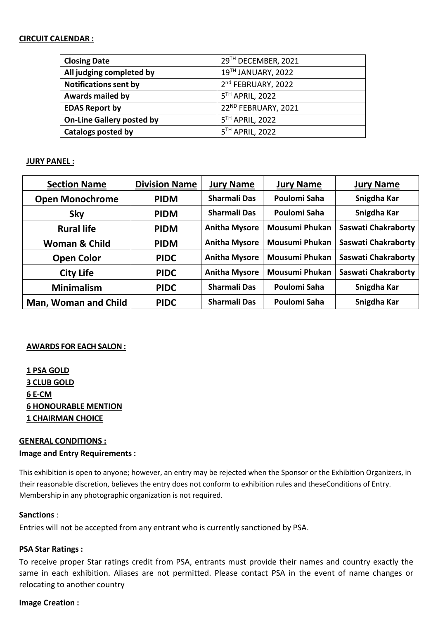#### **CIRCUIT CALENDAR :**

| <b>Closing Date</b>              | 29TH DECEMBER, 2021 |
|----------------------------------|---------------------|
| All judging completed by         | 19TH JANUARY, 2022  |
| <b>Notifications sent by</b>     | 2nd FEBRUARY, 2022  |
| Awards mailed by                 | 5TH APRIL, 2022     |
| <b>EDAS Report by</b>            | 22ND FEBRUARY, 2021 |
| <b>On-Line Gallery posted by</b> | 5TH APRIL, 2022     |
| Catalogs posted by               | 5TH APRIL, 2022     |

## **JURY PANEL :**

| <b>Section Name</b>    | <b>Division Name</b> | <b>Jury Name</b>     | <b>Jury Name</b>      | <b>Jury Name</b>    |
|------------------------|----------------------|----------------------|-----------------------|---------------------|
| <b>Open Monochrome</b> | <b>PIDM</b>          | <b>Sharmali Das</b>  | Poulomi Saha          | Snigdha Kar         |
| <b>Sky</b>             | <b>PIDM</b>          | <b>Sharmali Das</b>  | Poulomi Saha          | Snigdha Kar         |
| <b>Rural life</b>      | <b>PIDM</b>          | <b>Anitha Mysore</b> | <b>Mousumi Phukan</b> | Saswati Chakraborty |
| Woman & Child          | <b>PIDM</b>          | <b>Anitha Mysore</b> | <b>Mousumi Phukan</b> | Saswati Chakraborty |
| <b>Open Color</b>      | <b>PIDC</b>          | <b>Anitha Mysore</b> | <b>Mousumi Phukan</b> | Saswati Chakraborty |
| <b>City Life</b>       | <b>PIDC</b>          | <b>Anitha Mysore</b> | <b>Mousumi Phukan</b> | Saswati Chakraborty |
| <b>Minimalism</b>      | <b>PIDC</b>          | <b>Sharmali Das</b>  | Poulomi Saha          | Snigdha Kar         |
| Man, Woman and Child   | <b>PIDC</b>          | <b>Sharmali Das</b>  | Poulomi Saha          | Snigdha Kar         |

#### **AWARDS FOR EACH SALON:**

**1 PSA GOLD 3 CLUB GOLD 6 E-CM 6 HONOURABLE MENTION 1 CHAIRMAN CHOICE**

#### **GENERAL CONDITIONS :**

#### **Image and Entry Requirements :**

This exhibition is open to anyone; however, an entry may be rejected when the Sponsor or the Exhibition Organizers, in their reasonable discretion, believes the entry does not conform to exhibition rules and theseConditions of Entry. Membership in any photographic organization is not required.

#### **Sanctions** :

Entries will not be accepted from any entrant who is currently sanctioned by PSA.

#### **PSA Star Ratings :**

To receive proper Star ratings credit from PSA, entrants must provide their names and country exactly the same in each exhibition. Aliases are not permitted. Please contact PSA in the event of name changes or relocating to another country

## **Image Creation :**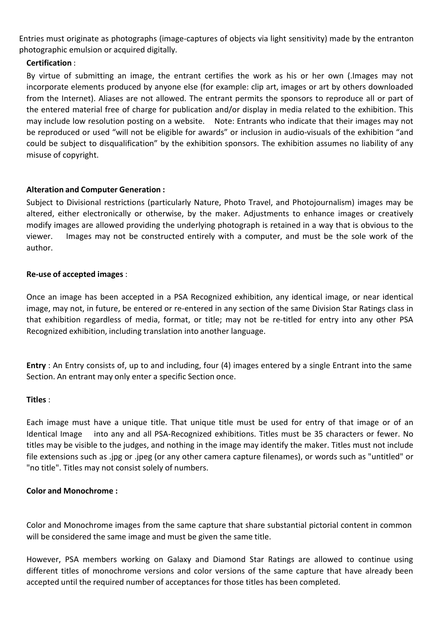Entries must originate as photographs (image-captures of objects via light sensitivity) made by the entranton photographic emulsion or acquired digitally.

## **Certification** :

By virtue of submitting an image, the entrant certifies the work as his or her own (.Images may not incorporate elements produced by anyone else (for example: clip art, images or art by others downloaded from the Internet). Aliases are not allowed. The entrant permits the sponsors to reproduce all or part of the entered material free of charge for publication and/or display in media related to the exhibition. This may include low resolution posting on a website. Note: Entrants who indicate that their images may not be reproduced or used "will not be eligible for awards" or inclusion in audio-visuals of the exhibition "and could be subject to disqualification" by the exhibition sponsors. The exhibition assumes no liability of any misuse of copyright.

## **Alteration and Computer Generation :**

Subject to Divisional restrictions (particularly Nature, Photo Travel, and Photojournalism) images may be altered, either electronically or otherwise, by the maker. Adjustments to enhance images or creatively modify images are allowed providing the underlying photograph is retained in a way that is obvious to the viewer. Images may not be constructed entirely with a computer, and must be the sole work of the author.

## **Re-use of accepted images** :

Once an image has been accepted in a PSA Recognized exhibition, any identical image, or near identical image, may not, in future, be entered or re-entered in any section of the same Division Star Ratings class in that exhibition regardless of media, format, or title; may not be re-titled for entry into any other PSA Recognized exhibition, including translation into another language.

**Entry** : An Entry consists of, up to and including, four (4) images entered by a single Entrant into the same Section. An entrant may only enter a specific Section once.

## **Titles** :

Each image must have a unique title. That unique title must be used for entry of that image or of an Identical Image into any and all PSA-Recognized exhibitions. Titles must be 35 characters or fewer. No titles may be visible to the judges, and nothing in the image may identify the maker. Titles must not include file extensions such as .jpg or .jpeg (or any other camera capture filenames), or words such as "untitled" or "no title". Titles may not consist solely of numbers.

## **Color and Monochrome :**

Color and Monochrome images from the same capture that share substantial pictorial content in common will be considered the same image and must be given the same title.

However, PSA members working on Galaxy and Diamond Star Ratings are allowed to continue using different titles of monochrome versions and color versions of the same capture that have already been accepted until the required number of acceptances for those titles has been completed.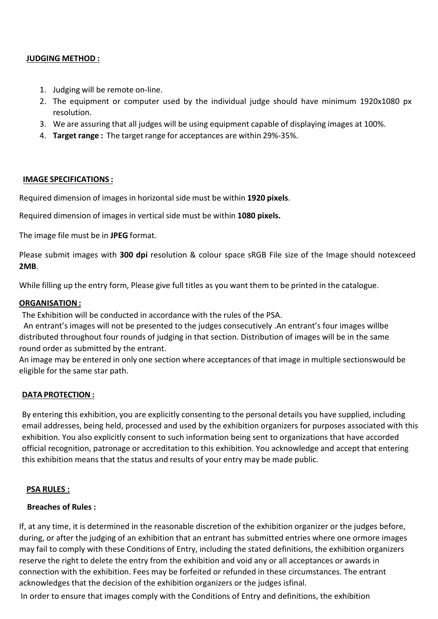## **JUDGING METHOD :**

- 1. Judging will be remote on-line.
- 2. The equipment or computer used bythe individual judge should have minimum 1920x1080 px resolution.
- 3. We are assuring that all judges will be using equipment capable of displaying images at 100%.
- 4. **Target range :** The target range for acceptances are within 29%-35%.

#### **IMAGE SPECIFICATIONS :**

Required dimension of images in horizontal side must be within **1920 pixels**.

Required dimension of images in vertical side must be within **1080 pixels.**

The image file must be in **JPEG** format.

Please submitimages with **300 dpi** resolution & colour space sRGB File size of the Image should notexceed **2MB**.

While filling up the entry form, Please give full titles as you want them to be printed in the catalogue.

## **ORGANISATION:**

The Exhibition will be conducted in accordance with the rules of the PSA.

An entrant's images will not be presented to the judges consecutively .An entrant's four images willbe distributed throughout four rounds of judging in that section. Distribution of images will be in the same round order as submitted by the entrant.

An image may be entered in only one section where acceptances of that image in multiple sectionswould be eligible for the same star path.

## **DATA PROTECTION :**

By entering this exhibition, you are explicitly consenting to the personal details you have supplied, including email addresses, being held, processed and used by the exhibition organizers for purposes associated with this exhibition. You also explicitly consent to such information being sent to organizations that have accorded official recognition, patronage or accreditation to this exhibition. You acknowledge and accept that entering this exhibition means that the status and results of your entry may be made public.

#### **PSA RULES :**

## **Breaches of Rules :**

If, at any time, it is determined in the reasonable discretion of the exhibition organizer or the judges before, during, or after the judging of an exhibition that an entrant has submitted entries where one ormore images may fail to comply with these Conditions of Entry, including the stated definitions, the exhibition organizers reserve the right to delete the entry from the exhibition and void any or all acceptances or awards in connection with the exhibition. Fees may be forfeited or refunded in these circumstances. The entrant acknowledges that the decision of the exhibition organizers or the judges isfinal.

In order to ensure that images comply with the Conditions of Entry and definitions, the exhibition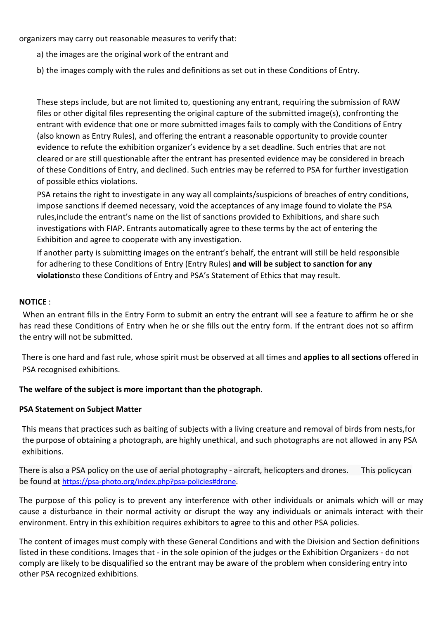organizers may carry out reasonable measures to verify that:

- a) the images are the original work of the entrant and
- b) the images comply with the rules and definitions as set out in these Conditions of Entry.

These steps include, but are not limited to, questioning any entrant, requiring the submission of RAW files or other digital files representing the original capture of the submitted image(s), confronting the entrant with evidence that one or more submitted images fails to comply with the Conditions of Entry (also known as Entry Rules), and offering the entrant a reasonable opportunity to provide counter evidence to refute the exhibition organizer's evidence by a set deadline. Such entries that are not cleared or are still questionable after the entrant has presented evidence may be considered in breach of these Conditions of Entry, and declined. Such entries may be referred to PSA for further investigation of possible ethics violations.

PSA retains the right to investigate in any way all complaints/suspicions of breaches of entry conditions, impose sanctions if deemed necessary, void the acceptances of any image found to violate the PSA rules,include the entrant's name on the list of sanctions provided to Exhibitions, and share such investigations with FIAP. Entrants automatically agree to these terms by the act of entering the Exhibition and agree to cooperate with any investigation.

If another party is submitting images on the entrant's behalf, the entrant will still be held responsible for adhering to these Conditions of Entry (Entry Rules) **and will be subject to sanction for any violations**to these Conditions of Entry and PSA's Statement of Ethics that may result.

#### **NOTICE** :

When an entrant fills in the Entry Form to submit an entry the entrant will see a feature to affirm he or she has read these Conditions of Entry when he or she fills out the entry form. If the entrant does not so affirm

the entry will not be submitted.<br>There is one hard and fast rule, whose spirit must be observed at all times and **applies to all sections** offered in PSA recognised exhibitions.

#### **The welfare of the subject is more important than the photograph**.

#### **PSA Statement on Subject Matter**

This means that practices such as baiting of subjects with a living creature and removal of birds from nests,for the purpose of obtaining a photograph, are highly unethical, and such photographs are not allowed in any PSA exhibitions.

There is also a PSA policy on the use of aerial photography - aircraft, helicopters and drones. This policycan be found at [https://psa-photo.org/index.php?psa-policies#drone](https://psa-photo.org/index.php?psa-policies).

The purpose of this policy is to prevent any interference with other individuals or animals which will or may cause a disturbance in their normal activity or disrupt the way any individuals or animals interact with their environment. Entry in this exhibition requires exhibitors to agree to this and other PSA policies.

The content of images must comply with these General Conditions and with the Division and Section definitions listed in these conditions. Images that - in the sole opinion of the judges or the Exhibition Organizers - do not comply are likely to be disqualified so the entrant may be aware of the problem when considering entry into other PSA recognized exhibitions.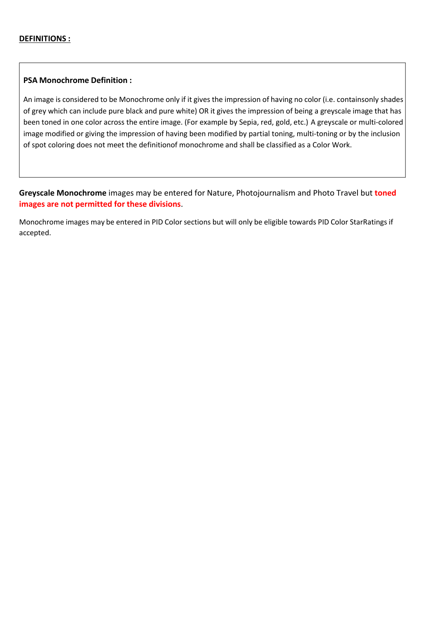#### **PSA Monochrome Definition :**

An image is considered to be Monochrome only if it gives the impression of having no color (i.e. containsonly shades of grey which can include pure black and pure white) OR it gives the impression of being a greyscale image that has been toned in one color across the entire image. (For example by Sepia, red, gold, etc.) A greyscale or multi-colored image modified or giving the impression of having been modified by partial toning, multi-toning or by the inclusion of spot coloring does not meet the definitionof monochrome and shall be classified as a Color Work.

**Greyscale Monochrome** images may be entered for Nature, Photojournalism and Photo Travel but **toned images are not permitted for these divisions**.

Monochrome images may be entered in PID Colorsections but will only be eligible towards PID Color StarRatings if accepted.